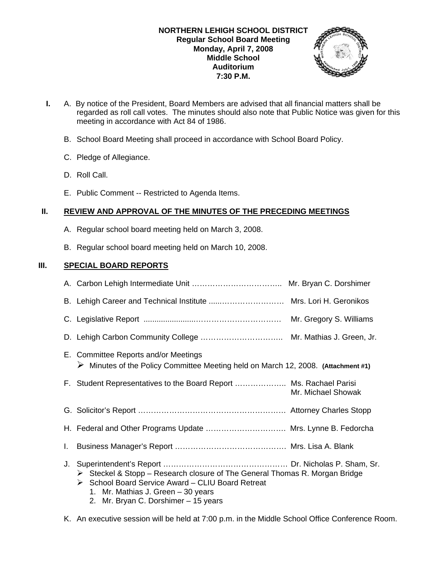

- **I.** A. By notice of the President, Board Members are advised that all financial matters shall be regarded as roll call votes. The minutes should also note that Public Notice was given for this meeting in accordance with Act 84 of 1986.
	- B. School Board Meeting shall proceed in accordance with School Board Policy.
	- C. Pledge of Allegiance.
	- D. Roll Call.
	- E. Public Comment -- Restricted to Agenda Items.

# **II. REVIEW AND APPROVAL OF THE MINUTES OF THE PRECEDING MEETINGS**

- A. Regular school board meeting held on March 3, 2008.
- B. Regular school board meeting held on March 10, 2008.

# **III. SPECIAL BOARD REPORTS**

|    | B. Lehigh Career and Technical Institute  Mrs. Lori H. Geronikos                                                                                                                    |
|----|-------------------------------------------------------------------------------------------------------------------------------------------------------------------------------------|
|    | Mr. Gregory S. Williams                                                                                                                                                             |
|    |                                                                                                                                                                                     |
|    | E. Committee Reports and/or Meetings<br>$\triangleright$ Minutes of the Policy Committee Meeting held on March 12, 2008. (Attachment #1)                                            |
|    | F. Student Representatives to the Board Report  Ms. Rachael Parisi<br>Mr. Michael Showak                                                                                            |
|    |                                                                                                                                                                                     |
|    | H. Federal and Other Programs Update  Mrs. Lynne B. Fedorcha                                                                                                                        |
| L. |                                                                                                                                                                                     |
| J. | $\triangleright$ Steckel & Stopp – Research closure of The General Thomas R. Morgan Bridge<br>School Board Service Award - CLIU Board Retreat<br>1. Mr. Mathias J. Green - 30 years |

- 2. Mr. Bryan C. Dorshimer 15 years
- K. An executive session will be held at 7:00 p.m. in the Middle School Office Conference Room.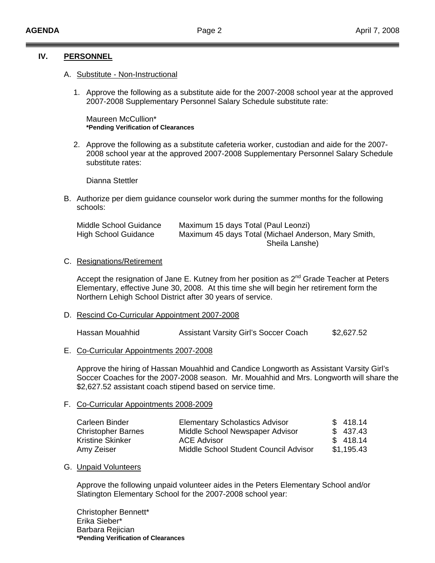### **IV. PERSONNEL**

### A. Substitute - Non-Instructional

1. Approve the following as a substitute aide for the 2007-2008 school year at the approved 2007-2008 Supplementary Personnel Salary Schedule substitute rate:

 Maureen McCullion\*  **\*Pending Verification of Clearances**

2. Approve the following as a substitute cafeteria worker, custodian and aide for the 2007- 2008 school year at the approved 2007-2008 Supplementary Personnel Salary Schedule substitute rates:

Dianna Stettler

B. Authorize per diem guidance counselor work during the summer months for the following schools:

| Middle School Guidance      | Maximum 15 days Total (Paul Leonzi)                  |
|-----------------------------|------------------------------------------------------|
| <b>High School Guidance</b> | Maximum 45 days Total (Michael Anderson, Mary Smith, |
|                             | Sheila Lanshe)                                       |

### C. Resignations/Retirement

Accept the resignation of Jane E. Kutney from her position as 2<sup>nd</sup> Grade Teacher at Peters Elementary, effective June 30, 2008. At this time she will begin her retirement form the Northern Lehigh School District after 30 years of service.

D. Rescind Co-Curricular Appointment 2007-2008

Hassan Mouahhid Assistant Varsity Girl's Soccer Coach \$2,627.52

E. Co-Curricular Appointments 2007-2008

 Approve the hiring of Hassan Mouahhid and Candice Longworth as Assistant Varsity Girl's Soccer Coaches for the 2007-2008 season. Mr. Mouahhid and Mrs. Longworth will share the \$2,627.52 assistant coach stipend based on service time.

### F. Co-Curricular Appointments 2008-2009

| Carleen Binder            | <b>Elementary Scholastics Advisor</b> | \$418.14   |
|---------------------------|---------------------------------------|------------|
| <b>Christopher Barnes</b> | Middle School Newspaper Advisor       | \$437.43   |
| Kristine Skinker          | ACE Advisor                           | \$418.14   |
| Amy Zeiser                | Middle School Student Council Advisor | \$1,195.43 |

### G. Unpaid Volunteers

Approve the following unpaid volunteer aides in the Peters Elementary School and/or Slatington Elementary School for the 2007-2008 school year:

Christopher Bennett\* Erika Sieber\* Barbara Rejician **\*Pending Verification of Clearances**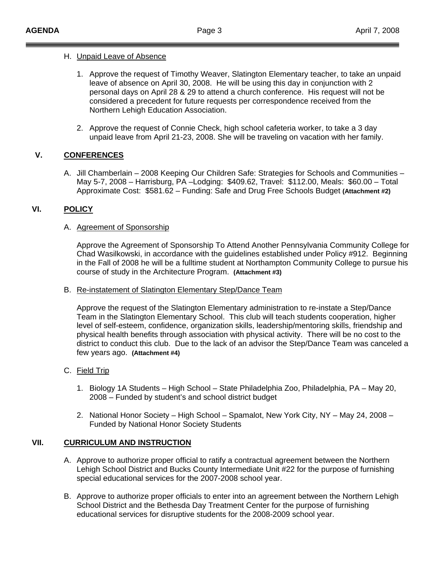### H. Unpaid Leave of Absence

- 1. Approve the request of Timothy Weaver, Slatington Elementary teacher, to take an unpaid leave of absence on April 30, 2008. He will be using this day in conjunction with 2 personal days on April 28 & 29 to attend a church conference. His request will not be considered a precedent for future requests per correspondence received from the Northern Lehigh Education Association.
- 2. Approve the request of Connie Check, high school cafeteria worker, to take a 3 day unpaid leave from April 21-23, 2008. She will be traveling on vacation with her family.

# **V. CONFERENCES**

A. Jill Chamberlain – 2008 Keeping Our Children Safe: Strategies for Schools and Communities – May 5-7, 2008 – Harrisburg, PA –Lodging: \$409.62, Travel: \$112.00, Meals: \$60.00 – Total Approximate Cost: \$581.62 – Funding: Safe and Drug Free Schools Budget **(Attachment #2)**

# **VI. POLICY**

### A. Agreement of Sponsorship

Approve the Agreement of Sponsorship To Attend Another Pennsylvania Community College for Chad Wasilkowski, in accordance with the guidelines established under Policy #912. Beginning in the Fall of 2008 he will be a fulltime student at Northampton Community College to pursue his course of study in the Architecture Program. **(Attachment #3)** 

### B. Re-instatement of Slatington Elementary Step/Dance Team

 Approve the request of the Slatington Elementary administration to re-instate a Step/Dance Team in the Slatington Elementary School. This club will teach students cooperation, higher level of self-esteem, confidence, organization skills, leadership/mentoring skills, friendship and physical health benefits through association with physical activity. There will be no cost to the district to conduct this club. Due to the lack of an advisor the Step/Dance Team was canceled a few years ago. **(Attachment #4)**

# C. Field Trip

- 1. Biology 1A Students High School State Philadelphia Zoo, Philadelphia, PA May 20, 2008 – Funded by student's and school district budget
- 2. National Honor Society High School Spamalot, New York City, NY May 24, 2008 Funded by National Honor Society Students

# **VII. CURRICULUM AND INSTRUCTION**

- A. Approve to authorize proper official to ratify a contractual agreement between the Northern Lehigh School District and Bucks County Intermediate Unit #22 for the purpose of furnishing special educational services for the 2007-2008 school year.
- B. Approve to authorize proper officials to enter into an agreement between the Northern Lehigh School District and the Bethesda Day Treatment Center for the purpose of furnishing educational services for disruptive students for the 2008-2009 school year.